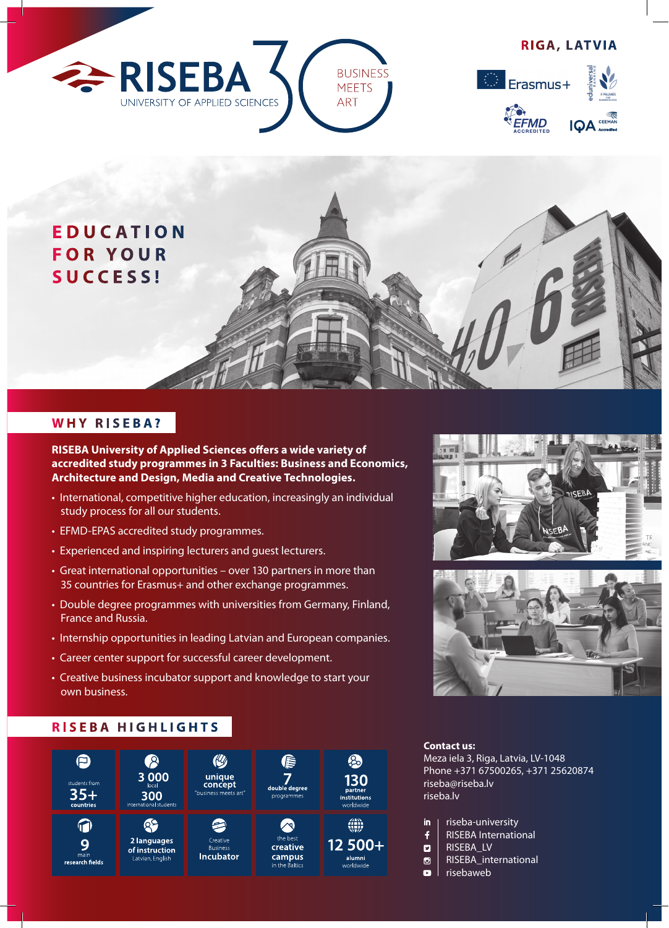





## **WHY RISEBA?**

**RISEBA University of Applied Sciences offers a wide variety of accredited study programmes in 3 Faculties: Business and Economics, Architecture and Design, Media and Creative Technologies.**

- International, competitive higher education, increasingly an individual study process for all our students.
- EFMD-EPAS accredited study programmes.
- Experienced and inspiring lecturers and guest lecturers.
- Great international opportunities over 130 partners in more than 35 countries for Erasmus+ and other exchange programmes.
- Double degree programmes with universities from Germany, Finland, France and Russia.
- Internship opportunities in leading Latvian and European companies.
- Career center support for successful career development.
- Creative business incubator support and knowledge to start your own business.

### **RISEBA HIGHLIGHTS**







#### **Contact us:**

Meza iela 3, Riga, Latvia, LV-1048 Phone +371 67500265, +371 25620874 riseba@riseba.lv riseba.lv

- in riseba-university
- $\mathbf{f}$ RISEBA International
- $\overline{a}$ RISEBA\_LV
- $\bullet$ RISEBA\_international
- $\blacksquare$ risebaweb